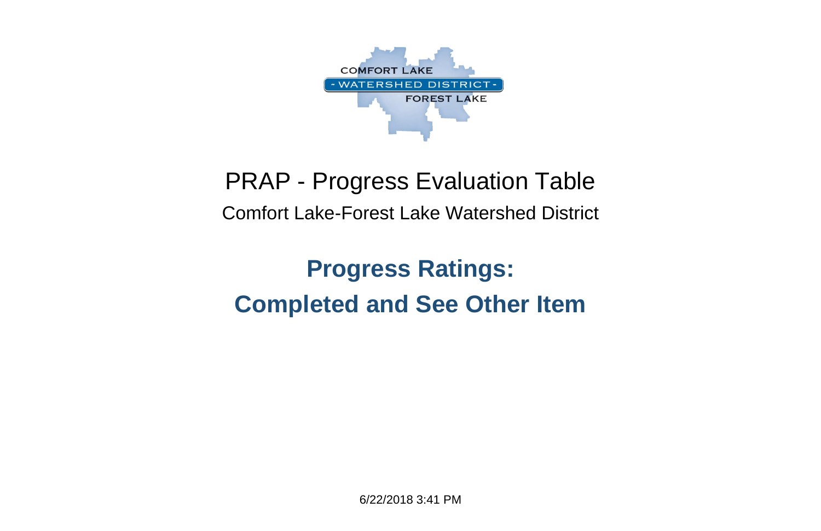6/22/2018 3:41 PM



### PRAP - Progress Evaluation Table Comfort Lake-Forest Lake Watershed District

### **Progress Ratings: Completed and See Other Item**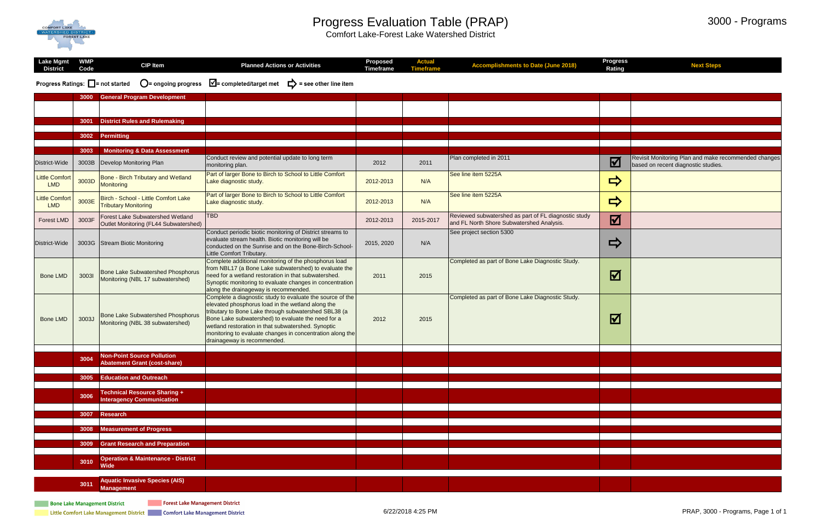

#### Progress Evaluation Table (PRAP)

Comfort Lake-Forest Lake Watershed District

#### 3000 - Programs

| <b>Lake Mgmt</b><br><b>District</b> | <b>WMP</b><br>Code | <b>CIP Item</b>                                                              | <b>Planned Actions or Activities</b>                                                                                                                                                                                                                                                                                                                                           | <b>Proposed</b><br><b>Timeframe</b> | <b>Actual</b><br><b>Timeframe</b> | <b>Accomplishments to Date (June 2018)</b>                                                        | <b>Progress</b><br><b>Rating</b> | <b>Next Steps</b>                                                                           |
|-------------------------------------|--------------------|------------------------------------------------------------------------------|--------------------------------------------------------------------------------------------------------------------------------------------------------------------------------------------------------------------------------------------------------------------------------------------------------------------------------------------------------------------------------|-------------------------------------|-----------------------------------|---------------------------------------------------------------------------------------------------|----------------------------------|---------------------------------------------------------------------------------------------|
|                                     |                    |                                                                              | Progress Ratings: $\Box$ = not started $\Box$ = ongoing progress $\Box$ = completed/target met $\Box$ = see other line item                                                                                                                                                                                                                                                    |                                     |                                   |                                                                                                   |                                  |                                                                                             |
|                                     | 3000               | <b>General Program Development</b>                                           |                                                                                                                                                                                                                                                                                                                                                                                |                                     |                                   |                                                                                                   |                                  |                                                                                             |
|                                     |                    |                                                                              |                                                                                                                                                                                                                                                                                                                                                                                |                                     |                                   |                                                                                                   |                                  |                                                                                             |
|                                     |                    | 3001 District Rules and Rulemaking                                           |                                                                                                                                                                                                                                                                                                                                                                                |                                     |                                   |                                                                                                   |                                  |                                                                                             |
|                                     |                    | 3002 Permitting                                                              |                                                                                                                                                                                                                                                                                                                                                                                |                                     |                                   |                                                                                                   |                                  |                                                                                             |
|                                     | 3003               | <b>Monitoring &amp; Data Assessment</b>                                      |                                                                                                                                                                                                                                                                                                                                                                                |                                     |                                   |                                                                                                   |                                  |                                                                                             |
| District-Wide                       | 3003B              | Develop Monitoring Plan                                                      | Conduct review and potential update to long term<br>monitoring plan.                                                                                                                                                                                                                                                                                                           | 2012                                | 2011                              | Plan completed in 2011                                                                            | $\boldsymbol{\nabla}$            | Revisit Monitoring Plan and make recommended changes<br>based on recent diagnostic studies. |
| Little Comfort<br><b>LMD</b>        | 3003D              | Bone - Birch Tributary and Wetland<br>Monitoring                             | Part of larger Bone to Birch to School to Little Comfort<br>Lake diagnostic study.                                                                                                                                                                                                                                                                                             | 2012-2013                           | N/A                               | See line item 5225A                                                                               | $\Rightarrow$                    |                                                                                             |
| Little Comfort<br><b>LMD</b>        | 3003E              | Birch - School - Little Comfort Lake<br><b>Tributary Monitoring</b>          | Part of larger Bone to Birch to School to Little Comfort<br>Lake diagnostic study.                                                                                                                                                                                                                                                                                             | 2012-2013                           | N/A                               | See line item 5225A                                                                               | $\Rightarrow$                    |                                                                                             |
| <b>Forest LMD</b>                   | 3003F              | Forest Lake Subwatershed Wetland<br>Outlet Monitoring (FL44 Subwatershed)    | <b>TBD</b>                                                                                                                                                                                                                                                                                                                                                                     | 2012-2013                           | 2015-2017                         | Reviewed subwatershed as part of FL diagnostic study<br>and FL North Shore Subwatershed Analysis. | 冈                                |                                                                                             |
| District-Wide                       |                    | 3003G Stream Biotic Monitoring                                               | Conduct periodic biotic monitoring of District streams to<br>evaluate stream health. Biotic monitoring will be<br>conducted on the Sunrise and on the Bone-Birch-School-<br>Little Comfort Tributary.                                                                                                                                                                          | 2015, 2020                          | N/A                               | See project section 5300                                                                          | $\Rightarrow$                    |                                                                                             |
| <b>Bone LMD</b>                     | 30031              | <b>Bone Lake Subwatershed Phosphorus</b><br>Monitoring (NBL 17 subwatershed) | Complete additional monitoring of the phosphorus load<br>from NBL17 (a Bone Lake subwatershed) to evaluate the<br>need for a wetland restoration in that subwatershed.<br>Synoptic monitoring to evaluate changes in concentration<br>along the drainageway is recommended.                                                                                                    | 2011                                | 2015                              | Completed as part of Bone Lake Diagnostic Study.                                                  | $\Delta$                         |                                                                                             |
| <b>Bone LMD</b>                     | 3003J              | <b>Bone Lake Subwatershed Phosphorus</b><br>Monitoring (NBL 38 subwatershed) | Complete a diagnostic study to evaluate the source of the<br>elevated phosphorus load in the wetland along the<br>tributary to Bone Lake through subwatershed SBL38 (a<br>Bone Lake subwatershed) to evaluate the need for a<br>wetland restoration in that subwatershed. Synoptic<br>monitoring to evaluate changes in concentration along the<br>drainageway is recommended. | 2012                                | 2015                              | Completed as part of Bone Lake Diagnostic Study.                                                  | 冈                                |                                                                                             |
|                                     | 3004               | <b>Non-Point Source Pollution</b><br><b>Abatement Grant (cost-share)</b>     |                                                                                                                                                                                                                                                                                                                                                                                |                                     |                                   |                                                                                                   |                                  |                                                                                             |
|                                     |                    | 3005 Education and Outreach                                                  |                                                                                                                                                                                                                                                                                                                                                                                |                                     |                                   |                                                                                                   |                                  |                                                                                             |
|                                     | 3006               | <b>Technical Resource Sharing +</b><br><b>Interagency Communication</b>      |                                                                                                                                                                                                                                                                                                                                                                                |                                     |                                   |                                                                                                   |                                  |                                                                                             |
|                                     | 3007               | <b>Research</b>                                                              |                                                                                                                                                                                                                                                                                                                                                                                |                                     |                                   |                                                                                                   |                                  |                                                                                             |
|                                     |                    |                                                                              |                                                                                                                                                                                                                                                                                                                                                                                |                                     |                                   |                                                                                                   |                                  |                                                                                             |
|                                     | 3008               | <b>Measurement of Progress</b>                                               |                                                                                                                                                                                                                                                                                                                                                                                |                                     |                                   |                                                                                                   |                                  |                                                                                             |
|                                     | 3009               | <b>Grant Research and Preparation</b>                                        |                                                                                                                                                                                                                                                                                                                                                                                |                                     |                                   |                                                                                                   |                                  |                                                                                             |
|                                     | 3010               | <b>Operation &amp; Maintenance - District</b><br><b>Wide</b>                 |                                                                                                                                                                                                                                                                                                                                                                                |                                     |                                   |                                                                                                   |                                  |                                                                                             |
|                                     | 3011               | <b>Aquatic Invasive Species (AIS)</b><br><b>Management</b>                   |                                                                                                                                                                                                                                                                                                                                                                                |                                     |                                   |                                                                                                   |                                  |                                                                                             |

Forest Lake Management District

Little Comfort Lake Management District **Comment Comfort Lake Management District** 

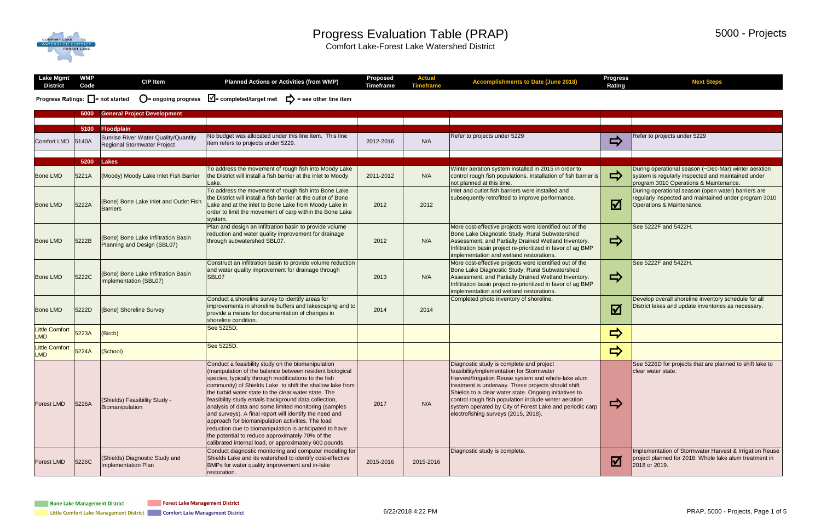

#### Progress Evaluation Table (PRAP)

Comfort Lake-Forest Lake Watershed District

| Lake Mgmt<br><b>District</b>                             | <b>WMP</b><br>Code | <b>CIP Item</b>                                                     | <b>Planned Actions or Activities (from WMP)</b>                                                                                                                                                                                                                                                                                                                                                                                                                                                                                                                                                                                                                                                        | <b>Proposed</b><br><b>Timeframe</b> | <b>Actual</b><br><b>Timeframe</b> | <b>Accomplishments to Date (June 2018)</b>                                                                                                                                                                                                                                                                                                                                                                                | <b>Progress</b><br><b>Rating</b> | <b>Next Steps</b>                                                                                                                  |
|----------------------------------------------------------|--------------------|---------------------------------------------------------------------|--------------------------------------------------------------------------------------------------------------------------------------------------------------------------------------------------------------------------------------------------------------------------------------------------------------------------------------------------------------------------------------------------------------------------------------------------------------------------------------------------------------------------------------------------------------------------------------------------------------------------------------------------------------------------------------------------------|-------------------------------------|-----------------------------------|---------------------------------------------------------------------------------------------------------------------------------------------------------------------------------------------------------------------------------------------------------------------------------------------------------------------------------------------------------------------------------------------------------------------------|----------------------------------|------------------------------------------------------------------------------------------------------------------------------------|
| <b>Progress Ratings: <math>\Box</math></b> = not started |                    | $\bigcirc$ = ongoing progress                                       | $\sqrt{\phantom{a}}$ = completed/target met $\phantom{a}$ = see other line item                                                                                                                                                                                                                                                                                                                                                                                                                                                                                                                                                                                                                        |                                     |                                   |                                                                                                                                                                                                                                                                                                                                                                                                                           |                                  |                                                                                                                                    |
|                                                          | 5000               | <b>General Project Development</b>                                  |                                                                                                                                                                                                                                                                                                                                                                                                                                                                                                                                                                                                                                                                                                        |                                     |                                   |                                                                                                                                                                                                                                                                                                                                                                                                                           |                                  |                                                                                                                                    |
|                                                          |                    |                                                                     |                                                                                                                                                                                                                                                                                                                                                                                                                                                                                                                                                                                                                                                                                                        |                                     |                                   |                                                                                                                                                                                                                                                                                                                                                                                                                           |                                  |                                                                                                                                    |
|                                                          | 5100               | Floodplain                                                          |                                                                                                                                                                                                                                                                                                                                                                                                                                                                                                                                                                                                                                                                                                        |                                     |                                   |                                                                                                                                                                                                                                                                                                                                                                                                                           |                                  |                                                                                                                                    |
| Comfort LMD 5140A                                        |                    | Sunrise River Water Quality/Quantity<br>Regional Stormwater Project | No budget was allocated under this line item. This line<br>litem refers to projects under 5229.                                                                                                                                                                                                                                                                                                                                                                                                                                                                                                                                                                                                        | 2012-2016                           | N/A                               | Refer to projects under 5229                                                                                                                                                                                                                                                                                                                                                                                              | ⇨                                | Refer to projects under 5229                                                                                                       |
|                                                          |                    |                                                                     |                                                                                                                                                                                                                                                                                                                                                                                                                                                                                                                                                                                                                                                                                                        |                                     |                                   |                                                                                                                                                                                                                                                                                                                                                                                                                           |                                  |                                                                                                                                    |
|                                                          |                    | 5200 Lakes                                                          | To address the movement of rough fish into Moody Lake                                                                                                                                                                                                                                                                                                                                                                                                                                                                                                                                                                                                                                                  |                                     |                                   | Winter aeration system installed in 2015 in order to                                                                                                                                                                                                                                                                                                                                                                      |                                  | During operational season (~Dec-Mar) winter aeration                                                                               |
| <b>Bone LMD</b>                                          | 5221A              | (Moody) Moody Lake Inlet Fish Barrier                               | the District will install a fish barrier at the inlet to Moody<br>Lake.                                                                                                                                                                                                                                                                                                                                                                                                                                                                                                                                                                                                                                | 2011-2012                           | N/A                               | control rough fish populations. Installation of fish barrier is<br>not planned at this time.                                                                                                                                                                                                                                                                                                                              | $\Rightarrow$                    | system is regularly inspected and maintained under<br>program 3010 Operations & Maintenance.                                       |
|                                                          |                    |                                                                     | To address the movement of rough fish into Bone Lake                                                                                                                                                                                                                                                                                                                                                                                                                                                                                                                                                                                                                                                   |                                     |                                   | Inlet and outlet fish barriers were installed and                                                                                                                                                                                                                                                                                                                                                                         |                                  | During operational season (open water) barriers are                                                                                |
| <b>Bone LMD</b>                                          | 5222A              | (Bone) Bone Lake Inlet and Outlet Fish<br>Barriers                  | the District will install a fish barrier at the outlet of Bone<br>Lake and at the inlet to Bone Lake from Moody Lake in<br>order to limit the movement of carp within the Bone Lake<br>system.                                                                                                                                                                                                                                                                                                                                                                                                                                                                                                         | 2012                                | 2012                              | subsequently retrofitted to improve performance.                                                                                                                                                                                                                                                                                                                                                                          | $\boldsymbol{\nabla}$            | regularly inspected and maintained under program 3010<br>Operations & Maintenance.                                                 |
| <b>Bone LMD</b>                                          | 5222B              | (Bone) Bone Lake Infiltration Basin<br>Planning and Design (SBL07)  | Plan and design an infiltration basin to provide volume<br>reduction and water quality improvement for drainage<br>through subwatershed SBL07.                                                                                                                                                                                                                                                                                                                                                                                                                                                                                                                                                         | 2012                                | N/A                               | More cost-effective projects were identified out of the<br>Bone Lake Diagnostic Study, Rural Subwatershed<br>Assessment, and Partially Drained Wetland Inventory.<br>Infiltration basin project re-prioritized in favor of ag BMP<br>implementation and wetland restorations.                                                                                                                                             | $\Rightarrow$                    | See 5222F and 5422H.                                                                                                               |
| <b>Bone LMD</b>                                          | 5222C              | (Bone) Bone Lake Infiltration Basin<br>Implementation (SBL07)       | Construct an infiltration basin to provide volume reduction<br>and water quality improvement for drainage through<br>SBL07                                                                                                                                                                                                                                                                                                                                                                                                                                                                                                                                                                             | 2013                                | N/A                               | More cost-effective projects were identified out of the<br>Bone Lake Diagnostic Study, Rural Subwatershed<br>Assessment, and Partially Drained Wetland Inventory.<br>Infiltration basin project re-prioritized in favor of ag BMP<br>implementation and wetland restorations.                                                                                                                                             | $\Rightarrow$                    | See 5222F and 5422H.                                                                                                               |
| <b>Bone LMD</b>                                          | 5222D              | (Bone) Shoreline Survey                                             | Conduct a shoreline survey to identify areas for<br>improvements in shoreline buffers and lakescaping and to<br>provide a means for documentation of changes in<br>shoreline condition.                                                                                                                                                                                                                                                                                                                                                                                                                                                                                                                | 2014                                | 2014                              | Completed photo inventory of shoreline.                                                                                                                                                                                                                                                                                                                                                                                   | $\overline{a}$<br>$\mathbf{M}$   | Develop overall shoreline inventory schedule for all<br>District lakes and update inventories as necessary.                        |
| <b>Little Comfort</b><br><b>LMD</b>                      | 5223A              | (Birch)                                                             | See 5225D.                                                                                                                                                                                                                                                                                                                                                                                                                                                                                                                                                                                                                                                                                             |                                     |                                   |                                                                                                                                                                                                                                                                                                                                                                                                                           | $\Rightarrow$                    |                                                                                                                                    |
| <b>Little Comfort</b><br><b>LMD</b>                      | 5224A              | (School)                                                            | See 5225D.                                                                                                                                                                                                                                                                                                                                                                                                                                                                                                                                                                                                                                                                                             |                                     |                                   |                                                                                                                                                                                                                                                                                                                                                                                                                           | $\Rightarrow$                    |                                                                                                                                    |
| <b>Forest LMD</b>                                        | 5226A              | (Shields) Feasibility Study -<br>Biomanipulation                    | Conduct a feasibility study on the biomanipulation<br>(manipulation of the balance between resident biological<br>species, typically through modifications to the fish<br>community) of Shields Lake to shift the shallow lake from<br>the turbid water state to the clear water state. The<br>feasibility study entails background data collection,<br>analysis of data and some limited monitoring (samples<br>and surveys). A final report will identify the need and<br>approach for biomanipulation activities. The load<br>reduction due to biomanipulation is anticipated to have<br>the potential to reduce approximately 70% of the<br>calibrated internal load, or approximately 600 pounds. | 2017                                | N/A                               | Diagnostic study is complete and project<br>feasibility/implementation for Stormwater<br>Harvest/Irrigation Reuse system and whole-lake alum<br>treatment is underway. These projects should shift<br>Shields to a clear water state. Ongoing initiatives to<br>control rough fish population include winter aeration<br>system operated by City of Forest Lake and periodic carp<br>electrofishing surveys (2015, 2018). | $\Rightarrow$                    | See 5226D for projects that are planned to shift lake to<br>clear water state.                                                     |
| <b>Forest LMD</b>                                        | 5226C              | (Shields) Diagnostic Study and<br>Implementation Plan               | Conduct diagnostic monitoring and computer modeling for<br>Shields Lake and its watershed to identify cost-effective<br>BMPs for water quality improvement and in-lake<br>restoration.                                                                                                                                                                                                                                                                                                                                                                                                                                                                                                                 | 2015-2016                           | 2015-2016                         | Diagnostic study is complete.                                                                                                                                                                                                                                                                                                                                                                                             | $\boldsymbol{\nabla}$            | Implementation of Stormwater Harvest & Irrigation Reuse<br>project planned for 2018. Whole lake alum treatment in<br>2018 or 2019. |

**Forest Lake Management District** 

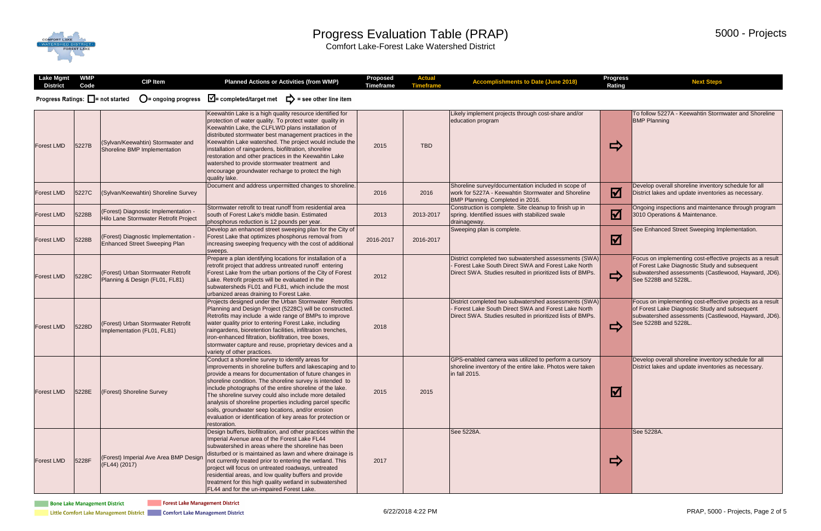## COMFORT LAKE

#### Progress Evaluation Table (PRAP)

Comfort Lake-Forest Lake Watershed District

| <b>Lake Mgmt</b><br><b>District</b>                      | <b>WMP</b><br>Code | <b>CIP Item</b>                                                               | <b>Planned Actions or Activities (from WMP)</b>                                                                                                                                                                                                                                                                                                                                                                                                                                                                                                           | <b>Proposed</b><br><b>Timeframe</b> | <b>Actual</b><br><b>Timeframe</b> | <b>Accomplishments to Date (June 2018)</b>                                                                                                                                | <b>Progress</b><br><b>Rating</b> | <b>Next Steps</b>                                                                                                                                                                           |
|----------------------------------------------------------|--------------------|-------------------------------------------------------------------------------|-----------------------------------------------------------------------------------------------------------------------------------------------------------------------------------------------------------------------------------------------------------------------------------------------------------------------------------------------------------------------------------------------------------------------------------------------------------------------------------------------------------------------------------------------------------|-------------------------------------|-----------------------------------|---------------------------------------------------------------------------------------------------------------------------------------------------------------------------|----------------------------------|---------------------------------------------------------------------------------------------------------------------------------------------------------------------------------------------|
| <b>Progress Ratings: <math>\Box</math></b> = not started |                    | $\bigcirc$ = ongoing progress                                                 | $\sqrt{\phantom{a}}$ = completed/target met $\phantom{a}$ = see other line item                                                                                                                                                                                                                                                                                                                                                                                                                                                                           |                                     |                                   |                                                                                                                                                                           |                                  |                                                                                                                                                                                             |
| <b>Forest LMD</b>                                        | 5227B              | (Sylvan/Keewahtin) Stormwater and<br>Shoreline BMP Implementation             | Keewahtin Lake is a high quality resource identified for<br>protection of water quality. To protect water quality in<br>Keewahtin Lake, the CLFLWD plans installation of<br>distributed stormwater best management practices in the<br>Keewahtin Lake watershed. The project would include the<br>installation of raingardens, biofiltration, shoreline<br>restoration and other practices in the Keewahtin Lake<br>watershed to provide stormwater treatment and<br>encourage groundwater recharge to protect the high<br>quality lake.                  | 2015                                | <b>TBD</b>                        | Likely implement projects through cost-share and/or<br>education program                                                                                                  | $\Rightarrow$                    | To follow 5227A - Keewahtin Stormwater and Shoreline<br><b>BMP Planning</b>                                                                                                                 |
| <b>Forest LMD</b>                                        | 5227C              | (Sylvan/Keewahtin) Shoreline Survey                                           | Document and address unpermitted changes to shoreline.                                                                                                                                                                                                                                                                                                                                                                                                                                                                                                    | 2016                                | 2016                              | Shoreline survey/documentation included in scope of<br>work for 5227A - Keewahtin Stormwater and Shoreline<br>BMP Planning. Completed in 2016.                            | $\overline{\mathbf{Y}}$          | Develop overall shoreline inventory schedule for all<br>District lakes and update inventories as necessary.                                                                                 |
| <b>Forest LMD</b>                                        | 5228B              | (Forest) Diagnostic Implementation -<br>Hilo Lane Stormwater Retrofit Project | Stormwater retrofit to treat runoff from residential area<br>south of Forest Lake's middle basin. Estimated<br>phosphorus reduction is 12 pounds per year.                                                                                                                                                                                                                                                                                                                                                                                                | 2013                                | 2013-2017                         | Construction is complete. Site cleanup to finish up in<br>spring. Identified issues with stabilized swale<br>drainageway.                                                 | $\blacktriangledown$             | Ongoing inspections and maintenance through program<br>3010 Operations & Maintenance.                                                                                                       |
| <b>Forest LMD</b>                                        | 5228B              | (Forest) Diagnostic Implementation -<br><b>Enhanced Street Sweeping Plan</b>  | Develop an enhanced street sweeping plan for the City of<br>Forest Lake that optimizes phosphorus removal from<br>increasing sweeping frequency with the cost of additional<br>sweeps.                                                                                                                                                                                                                                                                                                                                                                    | 2016-2017                           | 2016-2017                         | Sweeping plan is complete.                                                                                                                                                | $\boldsymbol{\boxtimes}$         | See Enhanced Street Sweeping Implementation.                                                                                                                                                |
| <b>Forest LMD</b>                                        | 5228C              | (Forest) Urban Stormwater Retrofit<br>Planning & Design (FL01, FL81)          | Prepare a plan identifying locations for installation of a<br>retrofit project that address untreated runoff entering<br>Forest Lake from the urban portions of the City of Forest<br>Lake. Retrofit projects will be evaluated in the<br>subwatersheds FL01 and FL81, which include the most<br>urbanized areas draining to Forest Lake.                                                                                                                                                                                                                 | 2012                                |                                   | District completed two subwatershed assessments (SWA)<br>Forest Lake South Direct SWA and Forest Lake North<br>Direct SWA. Studies resulted in prioritized lists of BMPs. | $\Rightarrow$                    | Focus on implementing cost-effective projects as a result<br>of Forest Lake Diagnostic Study and subsequent<br>subwatershed assessments (Castlewood, Hayward, JD6).<br>See 5228B and 5228L. |
| <b>Forest LMD</b>                                        | 5228D              | (Forest) Urban Stormwater Retrofit<br>Implementation (FL01, FL81)             | Projects designed under the Urban Stormwater Retrofits<br>Planning and Design Project (5228C) will be constructed.<br>Retrofits may include a wide range of BMPs to improve<br>water quality prior to entering Forest Lake, including<br>raingardens, bioretention facilities, infiltration trenches,<br>iron-enhanced filtration, biofiltration, tree boxes,<br>stormwater capture and reuse, proprietary devices and a<br>variety of other practices.                                                                                                   | 2018                                |                                   | District completed two subwatershed assessments (SWA)<br>Forest Lake South Direct SWA and Forest Lake North<br>Direct SWA. Studies resulted in prioritized lists of BMPs. | $\Rightarrow$                    | Focus on implementing cost-effective projects as a result<br>of Forest Lake Diagnostic Study and subsequent<br>subwatershed assessments (Castlewood, Hayward, JD6).<br>See 5228B and 5228L. |
| <b>Forest LMD</b>                                        | 5228E              | (Forest) Shoreline Survey                                                     | Conduct a shoreline survey to identify areas for<br>improvements in shoreline buffers and lakescaping and to<br>provide a means for documentation of future changes in<br>shoreline condition. The shoreline survey is intended to<br>include photographs of the entire shoreline of the lake.<br>The shoreline survey could also include more detailed<br>analysis of shoreline properties including parcel specific<br>soils, groundwater seep locations, and/or erosion<br>evaluation or identification of key areas for protection or<br>restoration. | 2015                                | 2015                              | GPS-enabled camera was utilized to perform a cursory<br>shoreline inventory of the entire lake. Photos were taken<br>in fall 2015.                                        | $\boxtimes$                      | Develop overall shoreline inventory schedule for all<br>District lakes and update inventories as necessary.                                                                                 |
| <b>Forest LMD</b>                                        | 5228F              | (Forest) Imperial Ave Area BMP Design<br>(FL44) (2017)                        | Design buffers, biofiltration, and other practices within the<br>Imperial Avenue area of the Forest Lake FL44<br>subwatershed in areas where the shoreline has been<br>disturbed or is maintained as lawn and where drainage is<br>not currently treated prior to entering the wetland. This<br>project will focus on untreated roadways, untreated<br>residential areas, and low quality buffers and provide<br>treatment for this high quality wetland in subwatershed<br>FL44 and for the un-impaired Forest Lake.                                     | 2017                                |                                   | See 5228A.                                                                                                                                                                | $\Rightarrow$                    | See 5228A.                                                                                                                                                                                  |

**The Forest Lake Management District** 

Little Comfort Lake Management District **Comment Comfort Lake Management District** 

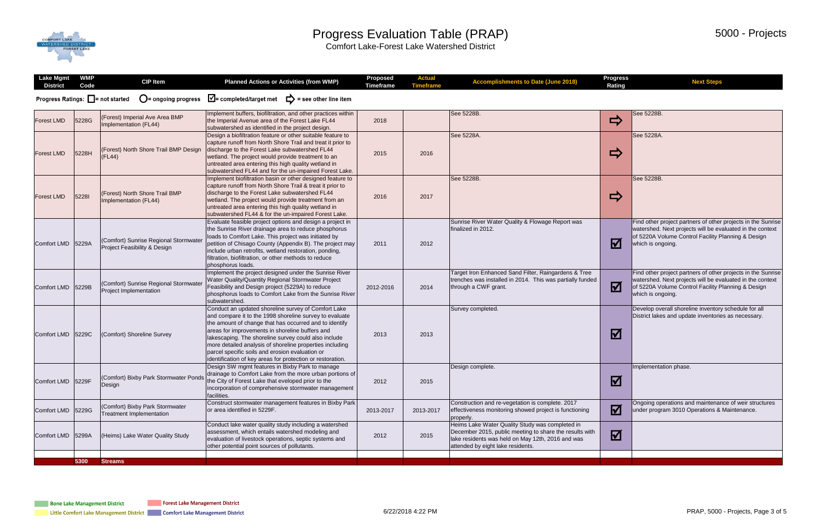# COMFORT LAKE

#### Progress Evaluation Table (PRAP)

Comfort Lake-Forest Lake Watershed District

| V                                                                                                                                                                                                    | <b>Rating</b> |                                                                                                                                                                                                      |
|------------------------------------------------------------------------------------------------------------------------------------------------------------------------------------------------------|---------------|------------------------------------------------------------------------------------------------------------------------------------------------------------------------------------------------------|
|                                                                                                                                                                                                      |               |                                                                                                                                                                                                      |
| See 5228B.                                                                                                                                                                                           |               | See 5228B.                                                                                                                                                                                           |
| See 5228A.                                                                                                                                                                                           |               | See 5228A.                                                                                                                                                                                           |
| See 5228B.                                                                                                                                                                                           |               | See 5228B.                                                                                                                                                                                           |
| Sunrise River Water Quality & Flowage Report was<br>finalized in 2012.                                                                                                                               | <u>V</u>      | Find other project partners of other projects in the Sunrise<br>watershed. Next projects will be evaluated in the context<br>of 5220A Volume Control Facility Planning & Design<br>which is ongoing. |
| Target Iron Enhanced Sand Filter, Raingardens & Tree<br>trenches was installed in 2014. This was partially funded<br>through a CWF grant.                                                            | <u>V</u>      | Find other project partners of other projects in the Sunrise<br>watershed. Next projects will be evaluated in the context<br>of 5220A Volume Control Facility Planning & Design<br>which is ongoing. |
| Survey completed.                                                                                                                                                                                    |               | Develop overall shoreline inventory schedule for all<br>District lakes and update inventories as necessary.                                                                                          |
| Design complete.                                                                                                                                                                                     | <u>lv</u>     | Implementation phase.                                                                                                                                                                                |
| Construction and re-vegetation is complete. 2017<br>effectiveness monitoring showed project is functioning<br>properly.                                                                              | <b>М</b>      | Ongoing operations and maintenance of weir structures<br>under program 3010 Operations & Maintenance.                                                                                                |
| Heims Lake Water Quality Study was completed in<br>December 2015, public meeting to share the results with<br>lake residents was held on May 12th, 2016 and was<br>attended by eight lake residents. | <b>V</b>      |                                                                                                                                                                                                      |
|                                                                                                                                                                                                      |               |                                                                                                                                                                                                      |

**Timeframe Accomplishments to Date (June 2018)**

**Progress** 

**Next Steps**

| <b>Lake Mgmt</b><br><b>District</b>                      | <b>WMP</b><br>Code | <b>CIP</b> Item                                                                  | <b>Planned Actions or Activities (from WMP)</b>                                                                                                                                                                                                                                                                                                                                                                                                                  | <b>Proposed</b><br><b>Timeframe</b> | <b>Actual</b><br><b>Timeframe</b> | <b>Accompli</b>                                                                          |
|----------------------------------------------------------|--------------------|----------------------------------------------------------------------------------|------------------------------------------------------------------------------------------------------------------------------------------------------------------------------------------------------------------------------------------------------------------------------------------------------------------------------------------------------------------------------------------------------------------------------------------------------------------|-------------------------------------|-----------------------------------|------------------------------------------------------------------------------------------|
| <b>Progress Ratings: <math>\Box</math> = not started</b> |                    | $\mathbf{O}$ = ongoing progress                                                  | $\sqrt{\phantom{a}}$ = completed/target met<br>▷<br>= see other line item                                                                                                                                                                                                                                                                                                                                                                                        |                                     |                                   |                                                                                          |
| <b>Forest LMD</b>                                        | 5228G              | (Forest) Imperial Ave Area BMP<br>Implementation (FL44)                          | Implement buffers, biofiltration, and other practices within<br>the Imperial Avenue area of the Forest Lake FL44<br>subwatershed as identified in the project design.                                                                                                                                                                                                                                                                                            | 2018                                |                                   | See 5228B.                                                                               |
| <b>Forest LMD</b>                                        | 5228H              | (Forest) North Shore Trail BMP Design<br>$\vert$ (FL44)                          | Design a biofiltration feature or other suitable feature to<br>capture runoff from North Shore Trail and treat it prior to<br>discharge to the Forest Lake subwatershed FL44<br>wetland. The project would provide treatment to an<br>untreated area entering this high quality wetland in<br>subwatershed FL44 and for the un-impaired Forest Lake.                                                                                                             | 2015                                | 2016                              | See 5228A.                                                                               |
| <b>Forest LMD</b>                                        | 52281              | (Forest) North Shore Trail BMP<br>Implementation (FL44)                          | Implement biofiltration basin or other designed feature to<br>capture runoff from North Shore Trail & treat it prior to<br>discharge to the Forest Lake subwatershed FL44<br>wetland. The project would provide treatment from an<br>untreated area entering this high quality wetland in<br>subwatershed FL44 & for the un-impaired Forest Lake.                                                                                                                | 2016                                | 2017                              | See 5228B.                                                                               |
| <b>Comfort LMD</b>                                       | 5229A              | (Comfort) Sunrise Regional Stormwater<br><b>Project Feasibility &amp; Design</b> | Evaluate feasible project options and design a project in<br>the Sunrise River drainage area to reduce phosphorus<br>loads to Comfort Lake. This project was initiated by<br>petition of Chisago County (Appendix B). The project may<br>include urban retrofits, wetland restoration, ponding,<br>filtration, biofiltration, or other methods to reduce<br>phosphorus loads.                                                                                    | 2011                                | 2012                              | <b>Sunrise River Wat</b><br>finalized in 2012.                                           |
| <b>Comfort LMD</b>                                       | 5229B              | (Comfort) Sunrise Regional Stormwater<br><b>Project Implementation</b>           | Implement the project designed under the Sunrise River<br>Water Quality/Quantity Regional Stormwater Project<br>Feasibility and Design project (5229A) to reduce<br>phosphorus loads to Comfort Lake from the Sunrise River<br>subwatershed.                                                                                                                                                                                                                     | 2012-2016                           | 2014                              | Target Iron Enhan<br>trenches was insta<br>through a CWF gra                             |
| <b>Comfort LMD</b>                                       | 5229C              | (Comfort) Shoreline Survey                                                       | Conduct an updated shoreline survey of Comfort Lake<br>and compare it to the 1998 shoreline survey to evaluate<br>the amount of change that has occurred and to identify<br>areas for improvements in shoreline buffers and<br>lakescaping. The shoreline survey could also include<br>more detailed analysis of shoreline properties including<br>parcel specific soils and erosion evaluation or<br>identification of key areas for protection or restoration. | 2013                                | 2013                              | Survey completed.                                                                        |
| <b>Comfort LMD</b>                                       | 5229F              | (Comfort) Bixby Park Stormwater Ponds<br>Design                                  | Design SW mgmt features in Bixby Park to manage<br>drainage to Comfort Lake from the more urban portions of<br>the City of Forest Lake that eveloped prior to the<br>incorporation of comprehensive stormwater management<br>facilities.                                                                                                                                                                                                                         | 2012                                | 2015                              | Design complete.                                                                         |
| <b>Comfort LMD</b>                                       | 5229G              | (Comfort) Bixby Park Stormwater<br>Treatment Implementation                      | Construct stormwater management features in Bixby Park<br>or area identified in 5229F.                                                                                                                                                                                                                                                                                                                                                                           | 2013-2017                           | 2013-2017                         | Construction and r<br>effectiveness moni<br>properly.                                    |
| <b>Comfort LMD</b>                                       | 5299A              | (Heims) Lake Water Quality Study                                                 | Conduct lake water quality study including a watershed<br>assessment, which entails watershed modeling and<br>evaluation of livestock operations, septic systems and<br>other potential point sources of pollutants.                                                                                                                                                                                                                                             | 2012                                | 2015                              | <b>Heims Lake Water</b><br>December 2015, p<br>lake residents was<br>attended by eight I |
|                                                          | 5300               | <b>Streams</b>                                                                   |                                                                                                                                                                                                                                                                                                                                                                                                                                                                  |                                     |                                   |                                                                                          |
|                                                          |                    |                                                                                  |                                                                                                                                                                                                                                                                                                                                                                                                                                                                  |                                     |                                   |                                                                                          |

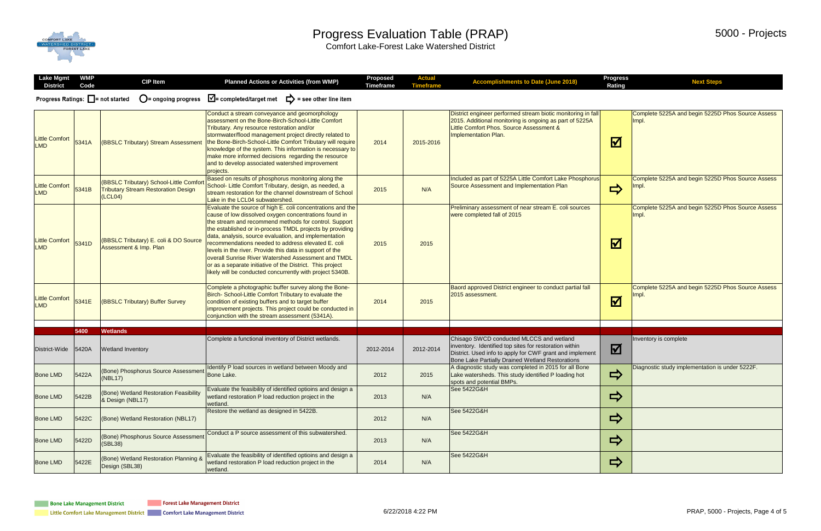## COMFORT LAKE

#### Progress Evaluation Table (PRAP)

Comfort Lake-Forest Lake Watershed District

| <b>Actual</b><br><b>Timeframe</b> | <b>Accomplishments to Date (June 2018)</b>                                                                                                                                                                         | <b>Progress</b><br><b>Rating</b> | <b>Next Steps</b>                                          |
|-----------------------------------|--------------------------------------------------------------------------------------------------------------------------------------------------------------------------------------------------------------------|----------------------------------|------------------------------------------------------------|
|                                   |                                                                                                                                                                                                                    |                                  |                                                            |
| 2015-2016                         | District engineer performed stream biotic monitoring in fall<br>2015. Additional monitoring is ongoing as part of 5225A<br>Little Comfort Phos. Source Assessment &<br>Implementation Plan.                        | <u>V</u>                         | Complete 5225A and begin 5225D Phos Source Assess<br>Impl. |
| N/A                               | Included as part of 5225A Little Comfort Lake Phosphorus<br>Source Assessment and Implementation Plan                                                                                                              |                                  | Complete 5225A and begin 5225D Phos Source Assess<br>Impl. |
| 2015                              | Preliminary assessment of near stream E. coli sources<br>were completed fall of 2015                                                                                                                               | <u>V</u>                         | Complete 5225A and begin 5225D Phos Source Assess<br>Impl. |
| 2015                              | Baord approved District engineer to conduct partial fall<br>2015 assessment.                                                                                                                                       |                                  | Complete 5225A and begin 5225D Phos Source Assess<br>Impl. |
|                                   |                                                                                                                                                                                                                    |                                  |                                                            |
| 2012-2014                         | Chisago SWCD conducted MLCCS and wetland<br>inventory. Identified top sites for restoration within<br>District. Used info to apply for CWF grant and implement<br>Bone Lake Partially Drained Wetland Restorations | $\boldsymbol{\mathsf{M}}$        | Inventory is complete                                      |
| 2015                              | A diagnostic study was completed in 2015 for all Bone<br>Lake watersheds. This study identified P loading hot<br>spots and potential BMPs.                                                                         |                                  | Diagnostic study implementation is under 5222F.            |
| N/A                               | See 5422G&H                                                                                                                                                                                                        |                                  |                                                            |
| N/A                               | See 5422G&H                                                                                                                                                                                                        |                                  |                                                            |
| N/A                               | See 5422G&H                                                                                                                                                                                                        | $\Rightarrow$                    |                                                            |
| N/A                               | See 5422G&H                                                                                                                                                                                                        |                                  |                                                            |

| <b>Lake Mgmt</b><br><b>District</b> | <b>WMP</b><br>Code | <b>CIP Item</b>                                                                                  | <b>Planned Actions or Activities (from WMP)</b>                                                                                                                                                                                                                                                                                                                                                                                                                                                                                                                                                      | <b>Proposed</b><br><b>Timeframe</b> | <b>Actual</b><br><b>Timeframe</b> |                                                                      |
|-------------------------------------|--------------------|--------------------------------------------------------------------------------------------------|------------------------------------------------------------------------------------------------------------------------------------------------------------------------------------------------------------------------------------------------------------------------------------------------------------------------------------------------------------------------------------------------------------------------------------------------------------------------------------------------------------------------------------------------------------------------------------------------------|-------------------------------------|-----------------------------------|----------------------------------------------------------------------|
| Progress Ratings: □ = not started   |                    | $\mathbf{O}$ = ongoing progress                                                                  | $\sqrt{\phantom{a}}$ = completed/target met<br>▷<br>= see other line item                                                                                                                                                                                                                                                                                                                                                                                                                                                                                                                            |                                     |                                   |                                                                      |
| <b>Little Comfort</b><br><b>LMD</b> | 5341A              | (BBSLC Tributary) Stream Assessment                                                              | Conduct a stream conveyance and geomorphology<br>assessment on the Bone-Birch-School-Little Comfort<br>Tributary. Any resource restoration and/or<br>stormwater/flood management project directly related to<br>the Bone-Birch-School-Little Comfort Tributary will require<br>knowledge of the system. This information is necessary to<br>make more informed decisions regarding the resource<br>and to develop associated watershed improvement<br>projects.                                                                                                                                      | 2014                                | 2015-2016                         | <b>District eng</b><br>2015. Addi<br><b>Little Comf</b><br>Implement |
| <b>Little Comfort</b><br><b>LMD</b> | 5341B              | (BBSLC Tributary) School-Little Comfort<br><b>Tributary Stream Restoration Design</b><br>(LCL04) | Based on results of phosphorus monitoring along the<br>School- Little Comfort Tributary, design, as needed, a<br>stream restoration for the channel downstream of School<br>Lake in the LCL04 subwatershed.                                                                                                                                                                                                                                                                                                                                                                                          | 2015                                | N/A                               | Included a<br><b>Source As</b>                                       |
| <b>Little Comfort</b><br><b>LMD</b> | 5341D              | (BBSLC Tributary) E. coli & DO Source<br><b>Assessment &amp; Imp. Plan</b>                       | Evaluate the source of high E. coli concentrations and the<br>cause of low dissolved oxygen concentrations found in<br>the stream and recommend methods for control. Support<br>the established or in-process TMDL projects by providing<br>data, analysis, source evaluation, and implementation<br>recommendations needed to address elevated E. coli<br>levels in the river. Provide this data in support of the<br>overall Sunrise River Watershed Assessment and TMDL<br>or as a separate initiative of the District. This project<br>likely will be conducted concurrently with project 5340B. | 2015                                | 2015                              | Preliminary<br>were comp                                             |
| <b>Little Comfort</b><br><b>LMD</b> | 5341E              | (BBSLC Tributary) Buffer Survey                                                                  | Complete a photographic buffer survey along the Bone-<br>Birch- School-Little Comfort Tributary to evaluate the<br>condition of existing buffers and to target buffer<br>improvement projects. This project could be conducted in<br>conjunction with the stream assessment (5341A).                                                                                                                                                                                                                                                                                                                 | 2014                                | 2015                              | <b>Baord app</b><br><b>2015</b> asse                                 |
|                                     |                    |                                                                                                  |                                                                                                                                                                                                                                                                                                                                                                                                                                                                                                                                                                                                      |                                     |                                   |                                                                      |
|                                     | 5400               | <b>Wetlands</b>                                                                                  | Complete a functional inventory of District wetlands.                                                                                                                                                                                                                                                                                                                                                                                                                                                                                                                                                |                                     |                                   | Chisago S                                                            |
| District-Wide                       | 5420A              | <b>Wetland Inventory</b>                                                                         |                                                                                                                                                                                                                                                                                                                                                                                                                                                                                                                                                                                                      | 2012-2014                           | 2012-2014                         | inventory.<br>District. Us<br><b>Bone Lake</b>                       |
| <b>Bone LMD</b>                     | 5422A              | (Bone) Phosphorus Source Assessment<br>(NBL17)                                                   | Identify P load sources in wetland between Moody and<br>Bone Lake.                                                                                                                                                                                                                                                                                                                                                                                                                                                                                                                                   | 2012                                | 2015                              | A diagnost<br>Lake wate<br>spots and                                 |
| <b>Bone LMD</b>                     | 5422B              | (Bone) Wetland Restoration Feasibility<br>& Design (NBL17)                                       | Evaluate the feasibility of identified optioins and design a<br>wetland restoration P load reduction project in the<br>wetland.                                                                                                                                                                                                                                                                                                                                                                                                                                                                      | 2013                                | N/A                               | See 54220                                                            |
| <b>Bone LMD</b>                     | 5422C              | (Bone) Wetland Restoration (NBL17)                                                               | Restore the wetland as designed in 5422B.                                                                                                                                                                                                                                                                                                                                                                                                                                                                                                                                                            | 2012                                | N/A                               | See 54220                                                            |
| <b>Bone LMD</b>                     | 5422D              | (Bone) Phosphorus Source Assessment<br>(SBL38)                                                   | Conduct a P source assessment of this subwatershed.                                                                                                                                                                                                                                                                                                                                                                                                                                                                                                                                                  | 2013                                | N/A                               | See 54220                                                            |
| <b>Bone LMD</b>                     | 5422E              | (Bone) Wetland Restoration Planning &<br>Design (SBL38)                                          | Evaluate the feasibility of identified optioins and design a<br>wetland restoration P load reduction project in the<br>wetland.                                                                                                                                                                                                                                                                                                                                                                                                                                                                      | 2014                                | N/A                               | See 54220                                                            |
|                                     |                    |                                                                                                  |                                                                                                                                                                                                                                                                                                                                                                                                                                                                                                                                                                                                      |                                     |                                   |                                                                      |

**Forest Lake Management District**